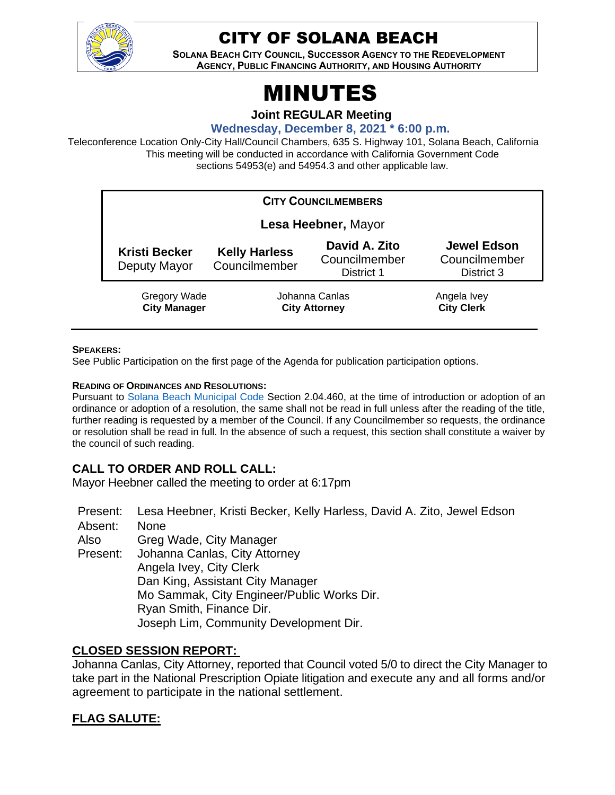

# CITY OF SOLANA BEACH

**SOLANA BEACH CITY COUNCIL, SUCCESSOR AGENCY TO THE REDEVELOPMENT AGENCY, PUBLIC FINANCING AUTHORITY, AND HOUSING AUTHORITY** 

# MINUTES

**Joint REGULAR Meeting**

**Wednesday, December 8, 2021 \* 6:00 p.m.**

Teleconference Location Only-City Hall/Council Chambers, 635 S. Highway 101, Solana Beach, California This meeting will be conducted in accordance with California Government Code sections 54953(e) and 54954.3 and other applicable law.

| <b>CITY COUNCILMEMBERS</b>           |                                        |                                              |                                                   |  |
|--------------------------------------|----------------------------------------|----------------------------------------------|---------------------------------------------------|--|
| Lesa Heebner, Mayor                  |                                        |                                              |                                                   |  |
| <b>Kristi Becker</b><br>Deputy Mayor | <b>Kelly Harless</b><br>Councilmember  | David A. Zito<br>Councilmember<br>District 1 | <b>Jewel Edson</b><br>Councilmember<br>District 3 |  |
| Gregory Wade<br><b>City Manager</b>  | Johanna Canlas<br><b>City Attorney</b> |                                              | Angela Ivey<br><b>City Clerk</b>                  |  |

#### **SPEAKERS:**

See Public Participation on the first page of the Agenda for publication participation options.

#### **READING OF ORDINANCES AND RESOLUTIONS:**

Pursuant to [Solana Beach Municipal Code](https://www.codepublishing.com/CA/SolanaBeach/) Section 2.04.460, at the time of introduction or adoption of an ordinance or adoption of a resolution, the same shall not be read in full unless after the reading of the title, further reading is requested by a member of the Council. If any Councilmember so requests, the ordinance or resolution shall be read in full. In the absence of such a request, this section shall constitute a waiver by the council of such reading.

# **CALL TO ORDER AND ROLL CALL:**

Mayor Heebner called the meeting to order at 6:17pm

Present: Lesa Heebner, Kristi Becker, Kelly Harless, David A. Zito, Jewel Edson

Absent: None

Also Greg Wade, City Manager

Present: Johanna Canlas, City Attorney Angela Ivey, City Clerk Dan King, Assistant City Manager Mo Sammak, City Engineer/Public Works Dir. Ryan Smith, Finance Dir. Joseph Lim, Community Development Dir.

# **CLOSED SESSION REPORT:**

Johanna Canlas, City Attorney, reported that Council voted 5/0 to direct the City Manager to take part in the National Prescription Opiate litigation and execute any and all forms and/or agreement to participate in the national settlement.

# **FLAG SALUTE:**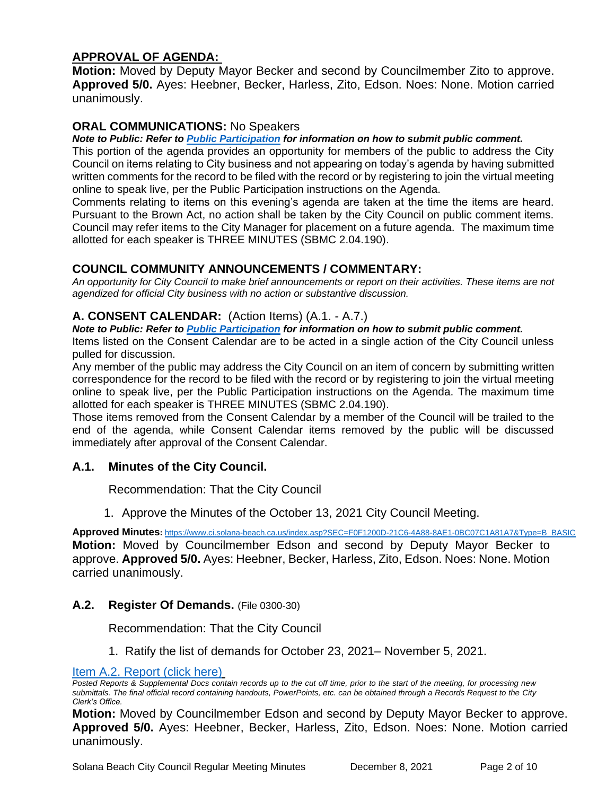# **APPROVAL OF AGENDA:**

**Motion:** Moved by Deputy Mayor Becker and second by Councilmember Zito to approve. **Approved 5/0.** Ayes: Heebner, Becker, Harless, Zito, Edson. Noes: None. Motion carried unanimously.

# **ORAL COMMUNICATIONS:** No Speakers

#### *Note to Public: Refer to Public Participation for information on how to submit public comment.*

This portion of the agenda provides an opportunity for members of the public to address the City Council on items relating to City business and not appearing on today's agenda by having submitted written comments for the record to be filed with the record or by registering to join the virtual meeting online to speak live, per the Public Participation instructions on the Agenda.

Comments relating to items on this evening's agenda are taken at the time the items are heard. Pursuant to the Brown Act, no action shall be taken by the City Council on public comment items. Council may refer items to the City Manager for placement on a future agenda. The maximum time allotted for each speaker is THREE MINUTES (SBMC 2.04.190).

# **COUNCIL COMMUNITY ANNOUNCEMENTS / COMMENTARY:**

*An opportunity for City Council to make brief announcements or report on their activities. These items are not agendized for official City business with no action or substantive discussion.* 

## **A. CONSENT CALENDAR:** (Action Items) (A.1. - A.7.)

#### *Note to Public: Refer to Public Participation for information on how to submit public comment.*  Items listed on the Consent Calendar are to be acted in a single action of the City Council unless

pulled for discussion.

Any member of the public may address the City Council on an item of concern by submitting written correspondence for the record to be filed with the record or by registering to join the virtual meeting online to speak live, per the Public Participation instructions on the Agenda. The maximum time allotted for each speaker is THREE MINUTES (SBMC 2.04.190).

Those items removed from the Consent Calendar by a member of the Council will be trailed to the end of the agenda, while Consent Calendar items removed by the public will be discussed immediately after approval of the Consent Calendar.

## **A.1. Minutes of the City Council.**

Recommendation: That the City Council

1. Approve the Minutes of the October 13, 2021 City Council Meeting.

**Approved Minutes:** [https://www.ci.solana-beach.ca.us/index.asp?SEC=F0F1200D-21C6-4A88-8AE1-0BC07C1A81A7&Type=B\\_BASIC](https://www.ci.solana-beach.ca.us/index.asp?SEC=F0F1200D-21C6-4A88-8AE1-0BC07C1A81A7&Type=B_BASIC) **Motion:** Moved by Councilmember Edson and second by Deputy Mayor Becker to approve. **Approved 5/0.** Ayes: Heebner, Becker, Harless, Zito, Edson. Noes: None. Motion carried unanimously.

# **A.2. Register Of Demands.** (File 0300-30)

Recommendation: That the City Council

1. Ratify the list of demands for October 23, 2021– November 5, 2021.

#### [Item A.2. Report \(click here\)](https://solanabeach.govoffice3.com/vertical/Sites/%7B840804C2-F869-4904-9AE3-720581350CE7%7D/uploads/Item_A.2._Report_(click_here)_-_12-08-21-_O.pdf)

**Motion:** Moved by Councilmember Edson and second by Deputy Mayor Becker to approve. **Approved 5/0.** Ayes: Heebner, Becker, Harless, Zito, Edson. Noes: None. Motion carried unanimously.

*Posted Reports & Supplemental Docs contain records up to the cut off time, prior to the start of the meeting, for processing new submittals. The final official record containing handouts, PowerPoints, etc. can be obtained through a Records Request to the City Clerk's Office.*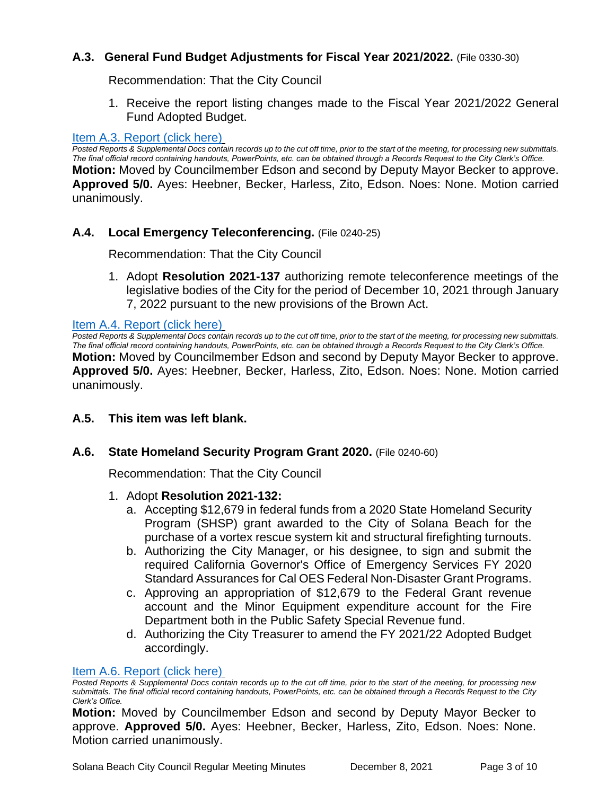# **A.3. General Fund Budget Adjustments for Fiscal Year 2021/2022.** (File 0330-30)

Recommendation: That the City Council

1. Receive the report listing changes made to the Fiscal Year 2021/2022 General Fund Adopted Budget.

#### [Item A.3. Report \(click here\)](https://solanabeach.govoffice3.com/vertical/Sites/%7B840804C2-F869-4904-9AE3-720581350CE7%7D/uploads/Item_A.3._Report_(click_here)_-_12-08-21_-O.pdf)

*Posted Reports & Supplemental Docs contain records up to the cut off time, prior to the start of the meeting, for processing new submittals. The final official record containing handouts, PowerPoints, etc. can be obtained through a Records Request to the City Clerk's Office.* **Motion:** Moved by Councilmember Edson and second by Deputy Mayor Becker to approve. **Approved 5/0.** Ayes: Heebner, Becker, Harless, Zito, Edson. Noes: None. Motion carried unanimously.

#### **A.4. Local Emergency Teleconferencing.** (File 0240-25)

Recommendation: That the City Council

1. Adopt **Resolution 2021-137** authorizing remote teleconference meetings of the legislative bodies of the City for the period of December 10, 2021 through January 7, 2022 pursuant to the new provisions of the Brown Act.

#### [Item A.4. Report \(click here\)](https://solanabeach.govoffice3.com/vertical/Sites/%7B840804C2-F869-4904-9AE3-720581350CE7%7D/uploads/Item_A.4._Report_(click_here)_-_12-08-21-_O.pdf)

*Posted Reports & Supplemental Docs contain records up to the cut off time, prior to the start of the meeting, for processing new submittals. The final official record containing handouts, PowerPoints, etc. can be obtained through a Records Request to the City Clerk's Office.* **Motion:** Moved by Councilmember Edson and second by Deputy Mayor Becker to approve. **Approved 5/0.** Ayes: Heebner, Becker, Harless, Zito, Edson. Noes: None. Motion carried unanimously.

## **A.5. This item was left blank.**

#### **A.6. State Homeland Security Program Grant 2020.** (File 0240-60)

Recommendation: That the City Council

#### 1. Adopt **Resolution 2021-132:**

- a. Accepting \$12,679 in federal funds from a 2020 State Homeland Security Program (SHSP) grant awarded to the City of Solana Beach for the purchase of a vortex rescue system kit and structural firefighting turnouts.
- b. Authorizing the City Manager, or his designee, to sign and submit the required California Governor's Office of Emergency Services FY 2020 Standard Assurances for Cal OES Federal Non-Disaster Grant Programs.
- c. Approving an appropriation of \$12,679 to the Federal Grant revenue account and the Minor Equipment expenditure account for the Fire Department both in the Public Safety Special Revenue fund.
- d. Authorizing the City Treasurer to amend the FY 2021/22 Adopted Budget accordingly.

#### [Item A.6. Report \(click here\)](https://solanabeach.govoffice3.com/vertical/Sites/%7B840804C2-F869-4904-9AE3-720581350CE7%7D/uploads/Item_A.6._Report_(click_here)_-_12-08-21-_O.pdf)

**Motion:** Moved by Councilmember Edson and second by Deputy Mayor Becker to approve. **Approved 5/0.** Ayes: Heebner, Becker, Harless, Zito, Edson. Noes: None. Motion carried unanimously.

*Posted Reports & Supplemental Docs contain records up to the cut off time, prior to the start of the meeting, for processing new submittals. The final official record containing handouts, PowerPoints, etc. can be obtained through a Records Request to the City Clerk's Office.*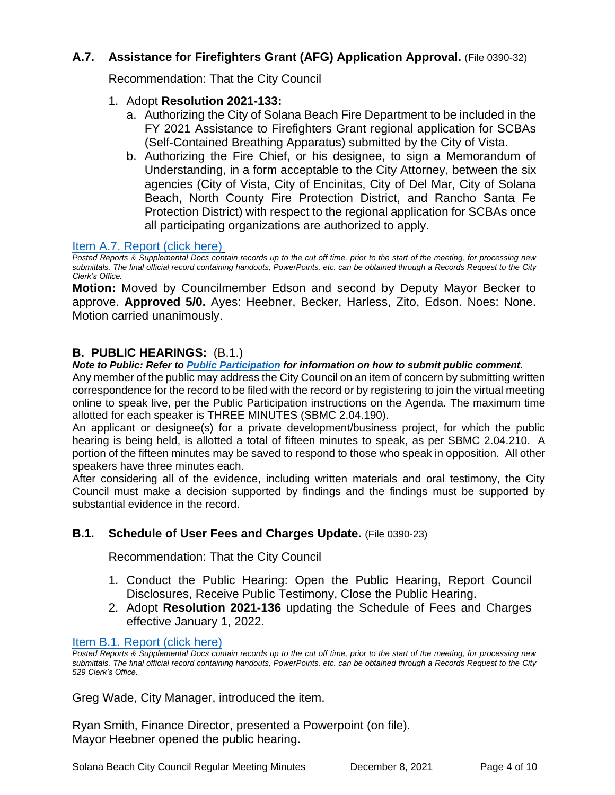# **A.7. Assistance for Firefighters Grant (AFG) Application Approval.** (File 0390-32)

Recommendation: That the City Council

- 1. Adopt **Resolution 2021-133:** 
	- a. Authorizing the City of Solana Beach Fire Department to be included in the FY 2021 Assistance to Firefighters Grant regional application for SCBAs (Self-Contained Breathing Apparatus) submitted by the City of Vista.
	- b. Authorizing the Fire Chief, or his designee, to sign a Memorandum of Understanding, in a form acceptable to the City Attorney, between the six agencies (City of Vista, City of Encinitas, City of Del Mar, City of Solana Beach, North County Fire Protection District, and Rancho Santa Fe Protection District) with respect to the regional application for SCBAs once all participating organizations are authorized to apply.

## [Item A.7. Report \(click here\)](https://solanabeach.govoffice3.com/vertical/Sites/%7B840804C2-F869-4904-9AE3-720581350CE7%7D/uploads/Item_A.7._Report_(click_here)_-_12-08-21-_O.pdf)

*Posted Reports & Supplemental Docs contain records up to the cut off time, prior to the start of the meeting, for processing new submittals. The final official record containing handouts, PowerPoints, etc. can be obtained through a Records Request to the City Clerk's Office.*

**Motion:** Moved by Councilmember Edson and second by Deputy Mayor Becker to approve. **Approved 5/0.** Ayes: Heebner, Becker, Harless, Zito, Edson. Noes: None. Motion carried unanimously.

## **B. PUBLIC HEARINGS:** (B.1.)

*Note to Public: Refer to Public Participation for information on how to submit public comment.* 

Any member of the public may address the City Council on an item of concern by submitting written correspondence for the record to be filed with the record or by registering to join the virtual meeting online to speak live, per the Public Participation instructions on the Agenda. The maximum time allotted for each speaker is THREE MINUTES (SBMC 2.04.190).

An applicant or designee(s) for a private development/business project, for which the public hearing is being held, is allotted a total of fifteen minutes to speak, as per SBMC 2.04.210. A portion of the fifteen minutes may be saved to respond to those who speak in opposition. All other speakers have three minutes each.

After considering all of the evidence, including written materials and oral testimony, the City Council must make a decision supported by findings and the findings must be supported by substantial evidence in the record.

## **B.1. Schedule of User Fees and Charges Update.** (File 0390-23)

Recommendation: That the City Council

- 1. Conduct the Public Hearing: Open the Public Hearing, Report Council Disclosures, Receive Public Testimony, Close the Public Hearing.
- 2. Adopt **Resolution 2021-136** updating the Schedule of Fees and Charges effective January 1, 2022.

#### [Item B.1. Report \(click here\)](https://solanabeach.govoffice3.com/vertical/Sites/%7B840804C2-F869-4904-9AE3-720581350CE7%7D/uploads/Item_B.1._Report_(click_here)_-_12-08-21-_O.pdf)

*Posted Reports & Supplemental Docs contain records up to the cut off time, prior to the start of the meeting, for processing new submittals. The final official record containing handouts, PowerPoints, etc. can be obtained through a Records Request to the City 529 Clerk's Office.*

Greg Wade, City Manager, introduced the item.

Ryan Smith, Finance Director, presented a Powerpoint (on file). Mayor Heebner opened the public hearing.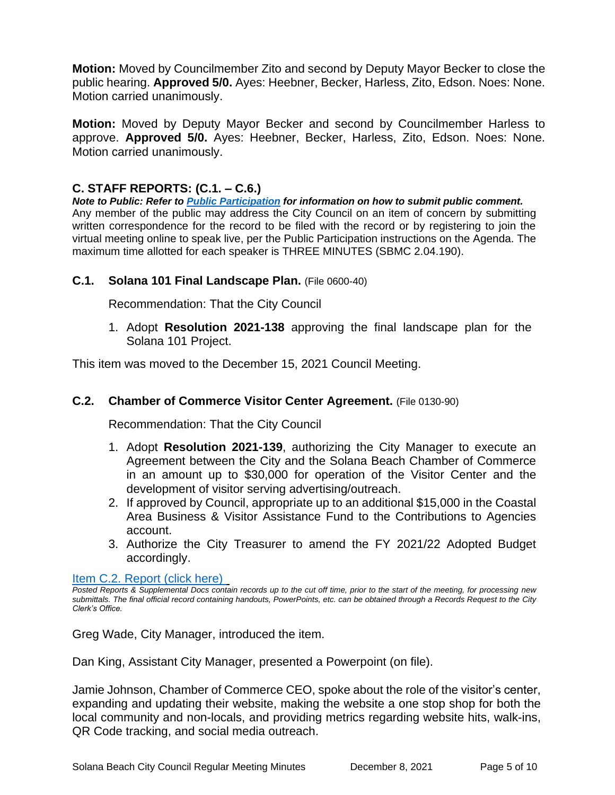**Motion:** Moved by Councilmember Zito and second by Deputy Mayor Becker to close the public hearing. **Approved 5/0.** Ayes: Heebner, Becker, Harless, Zito, Edson. Noes: None. Motion carried unanimously.

**Motion:** Moved by Deputy Mayor Becker and second by Councilmember Harless to approve. **Approved 5/0.** Ayes: Heebner, Becker, Harless, Zito, Edson. Noes: None. Motion carried unanimously.

# **C. STAFF REPORTS: (C.1. – C.6.)**

*Note to Public: Refer to Public Participation for information on how to submit public comment.*  Any member of the public may address the City Council on an item of concern by submitting written correspondence for the record to be filed with the record or by registering to join the virtual meeting online to speak live, per the Public Participation instructions on the Agenda. The maximum time allotted for each speaker is THREE MINUTES (SBMC 2.04.190).

## **C.1. Solana 101 Final Landscape Plan.** (File 0600-40)

Recommendation: That the City Council

1. Adopt **Resolution 2021-138** approving the final landscape plan for the Solana 101 Project.

This item was moved to the December 15, 2021 Council Meeting.

#### **C.2. Chamber of Commerce Visitor Center Agreement.** (File 0130-90)

Recommendation: That the City Council

- 1. Adopt **Resolution 2021-139**, authorizing the City Manager to execute an Agreement between the City and the Solana Beach Chamber of Commerce in an amount up to \$30,000 for operation of the Visitor Center and the development of visitor serving advertising/outreach.
- 2. If approved by Council, appropriate up to an additional \$15,000 in the Coastal Area Business & Visitor Assistance Fund to the Contributions to Agencies account.
- 3. Authorize the City Treasurer to amend the FY 2021/22 Adopted Budget accordingly.

#### [Item C.2. Report](https://solanabeach.govoffice3.com/vertical/Sites/%7B840804C2-F869-4904-9AE3-720581350CE7%7D/uploads/Item_C.2._Report_(click_here)_-_12-08-21-_O.pdf) (click here)

*Posted Reports & Supplemental Docs contain records up to the cut off time, prior to the start of the meeting, for processing new submittals. The final official record containing handouts, PowerPoints, etc. can be obtained through a Records Request to the City Clerk's Office.*

Greg Wade, City Manager, introduced the item.

Dan King, Assistant City Manager, presented a Powerpoint (on file).

Jamie Johnson, Chamber of Commerce CEO, spoke about the role of the visitor's center, expanding and updating their website, making the website a one stop shop for both the local community and non-locals, and providing metrics regarding website hits, walk-ins, QR Code tracking, and social media outreach.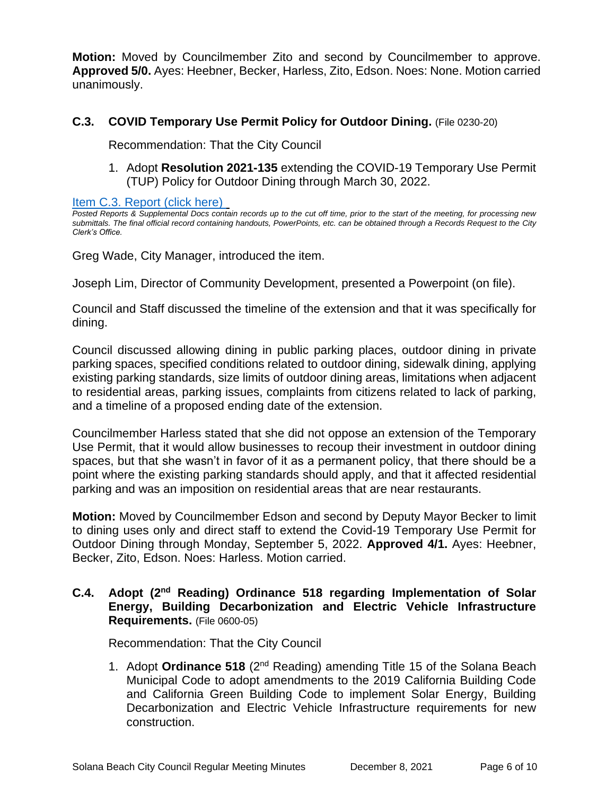**Motion:** Moved by Councilmember Zito and second by Councilmember to approve. **Approved 5/0.** Ayes: Heebner, Becker, Harless, Zito, Edson. Noes: None. Motion carried unanimously.

## **C.3. COVID Temporary Use Permit Policy for Outdoor Dining.** (File 0230-20)

Recommendation: That the City Council

1. Adopt **Resolution 2021-135** extending the COVID-19 Temporary Use Permit (TUP) Policy for Outdoor Dining through March 30, 2022.

[Item C.3. Report \(click here\)](https://solanabeach.govoffice3.com/vertical/Sites/%7B840804C2-F869-4904-9AE3-720581350CE7%7D/uploads/Item_C.3._Report_(click_here)_-_12-08-21-_O.pdf) 

*Posted Reports & Supplemental Docs contain records up to the cut off time, prior to the start of the meeting, for processing new submittals. The final official record containing handouts, PowerPoints, etc. can be obtained through a Records Request to the City Clerk's Office.*

Greg Wade, City Manager, introduced the item.

Joseph Lim, Director of Community Development, presented a Powerpoint (on file).

Council and Staff discussed the timeline of the extension and that it was specifically for dining.

Council discussed allowing dining in public parking places, outdoor dining in private parking spaces, specified conditions related to outdoor dining, sidewalk dining, applying existing parking standards, size limits of outdoor dining areas, limitations when adjacent to residential areas, parking issues, complaints from citizens related to lack of parking, and a timeline of a proposed ending date of the extension.

Councilmember Harless stated that she did not oppose an extension of the Temporary Use Permit, that it would allow businesses to recoup their investment in outdoor dining spaces, but that she wasn't in favor of it as a permanent policy, that there should be a point where the existing parking standards should apply, and that it affected residential parking and was an imposition on residential areas that are near restaurants.

**Motion:** Moved by Councilmember Edson and second by Deputy Mayor Becker to limit to dining uses only and direct staff to extend the Covid-19 Temporary Use Permit for Outdoor Dining through Monday, September 5, 2022. **Approved 4/1.** Ayes: Heebner, Becker, Zito, Edson. Noes: Harless. Motion carried.

# **C.4. Adopt (2nd Reading) Ordinance 518 regarding Implementation of Solar Energy, Building Decarbonization and Electric Vehicle Infrastructure Requirements.** (File 0600-05)

Recommendation: That the City Council

1. Adopt **Ordinance 518** (2nd Reading) amending Title 15 of the Solana Beach Municipal Code to adopt amendments to the 2019 California Building Code and California Green Building Code to implement Solar Energy, Building Decarbonization and Electric Vehicle Infrastructure requirements for new construction.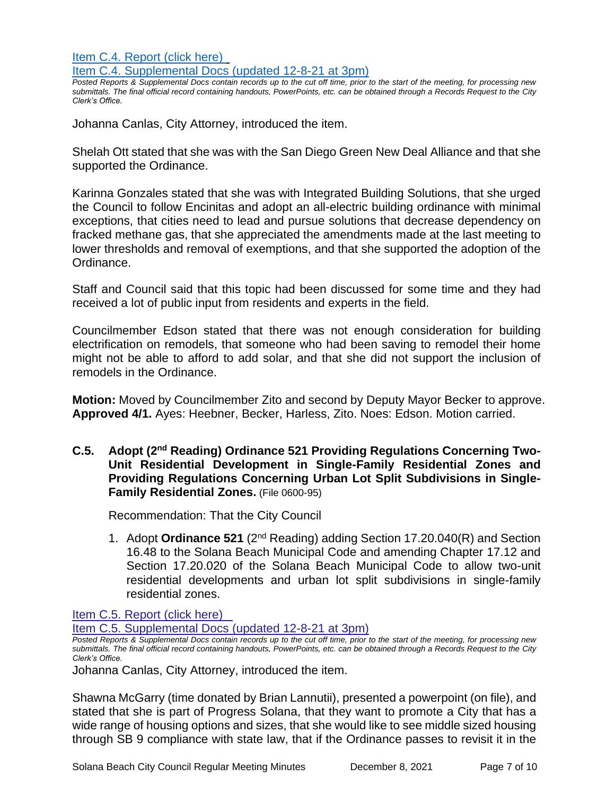[Item C.4. Report \(click here\)](https://solanabeach.govoffice3.com/vertical/Sites/%7B840804C2-F869-4904-9AE3-720581350CE7%7D/uploads/Item_C.4._Report_(click_here)_-_12-08-21-_O.pdf)  [Item C.4. Supplemental Docs \(updated 12-8-21 at 3pm\)](https://solanabeach.govoffice3.com/vertical/Sites/%7B840804C2-F869-4904-9AE3-720581350CE7%7D/uploads/Item_C.4._Supplemental_Docs_(upd._12-8_at_3pm)_-_O.pdf)

*Posted Reports & Supplemental Docs contain records up to the cut off time, prior to the start of the meeting, for processing new submittals. The final official record containing handouts, PowerPoints, etc. can be obtained through a Records Request to the City Clerk's Office.*

Johanna Canlas, City Attorney, introduced the item.

Shelah Ott stated that she was with the San Diego Green New Deal Alliance and that she supported the Ordinance.

Karinna Gonzales stated that she was with Integrated Building Solutions, that she urged the Council to follow Encinitas and adopt an all-electric building ordinance with minimal exceptions, that cities need to lead and pursue solutions that decrease dependency on fracked methane gas, that she appreciated the amendments made at the last meeting to lower thresholds and removal of exemptions, and that she supported the adoption of the Ordinance.

Staff and Council said that this topic had been discussed for some time and they had received a lot of public input from residents and experts in the field.

Councilmember Edson stated that there was not enough consideration for building electrification on remodels, that someone who had been saving to remodel their home might not be able to afford to add solar, and that she did not support the inclusion of remodels in the Ordinance.

**Motion:** Moved by Councilmember Zito and second by Deputy Mayor Becker to approve. **Approved 4/1.** Ayes: Heebner, Becker, Harless, Zito. Noes: Edson. Motion carried.

C.5. Adopt (2<sup>nd</sup> Reading) Ordinance 521 Providing Regulations Concerning Two-**Unit Residential Development in Single-Family Residential Zones and Providing Regulations Concerning Urban Lot Split Subdivisions in Single-Family Residential Zones.** (File 0600-95)

Recommendation: That the City Council

1. Adopt **Ordinance 521** (2nd Reading) adding Section 17.20.040(R) and Section 16.48 to the Solana Beach Municipal Code and amending Chapter 17.12 and Section 17.20.020 of the Solana Beach Municipal Code to allow two-unit residential developments and urban lot split subdivisions in single-family residential zones.

[Item C.5. Report \(click here\)](https://solanabeach.govoffice3.com/vertical/Sites/%7B840804C2-F869-4904-9AE3-720581350CE7%7D/uploads/Item_C.5._Report_(click_here)_-_12-08-21-_O.pdf) 

[Item C.5. Supplemental Docs \(updated 12-8-21 at 3pm\)](https://solanabeach.govoffice3.com/vertical/Sites/%7B840804C2-F869-4904-9AE3-720581350CE7%7D/uploads/Item_C.5._Supplemental_Docs_(upd._12-8_at_3pm)_-_O.pdf)

*Posted Reports & Supplemental Docs contain records up to the cut off time, prior to the start of the meeting, for processing new submittals. The final official record containing handouts, PowerPoints, etc. can be obtained through a Records Request to the City Clerk's Office.*

Johanna Canlas, City Attorney, introduced the item.

Shawna McGarry (time donated by Brian Lannutii), presented a powerpoint (on file), and stated that she is part of Progress Solana, that they want to promote a City that has a wide range of housing options and sizes, that she would like to see middle sized housing through SB 9 compliance with state law, that if the Ordinance passes to revisit it in the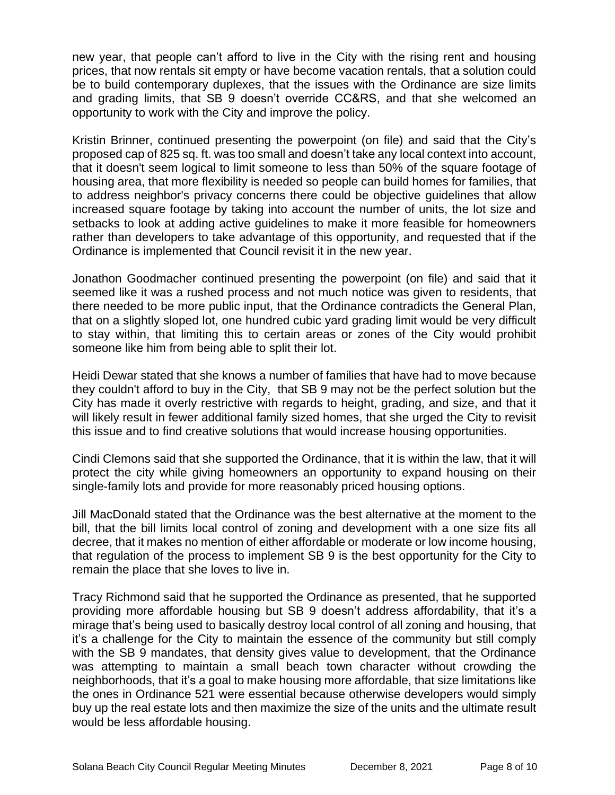new year, that people can't afford to live in the City with the rising rent and housing prices, that now rentals sit empty or have become vacation rentals, that a solution could be to build contemporary duplexes, that the issues with the Ordinance are size limits and grading limits, that SB 9 doesn't override CC&RS, and that she welcomed an opportunity to work with the City and improve the policy.

Kristin Brinner, continued presenting the powerpoint (on file) and said that the City's proposed cap of 825 sq. ft. was too small and doesn't take any local context into account, that it doesn't seem logical to limit someone to less than 50% of the square footage of housing area, that more flexibility is needed so people can build homes for families, that to address neighbor's privacy concerns there could be objective guidelines that allow increased square footage by taking into account the number of units, the lot size and setbacks to look at adding active guidelines to make it more feasible for homeowners rather than developers to take advantage of this opportunity, and requested that if the Ordinance is implemented that Council revisit it in the new year.

Jonathon Goodmacher continued presenting the powerpoint (on file) and said that it seemed like it was a rushed process and not much notice was given to residents, that there needed to be more public input, that the Ordinance contradicts the General Plan, that on a slightly sloped lot, one hundred cubic yard grading limit would be very difficult to stay within, that limiting this to certain areas or zones of the City would prohibit someone like him from being able to split their lot.

Heidi Dewar stated that she knows a number of families that have had to move because they couldn't afford to buy in the City, that SB 9 may not be the perfect solution but the City has made it overly restrictive with regards to height, grading, and size, and that it will likely result in fewer additional family sized homes, that she urged the City to revisit this issue and to find creative solutions that would increase housing opportunities.

Cindi Clemons said that she supported the Ordinance, that it is within the law, that it will protect the city while giving homeowners an opportunity to expand housing on their single-family lots and provide for more reasonably priced housing options.

Jill MacDonald stated that the Ordinance was the best alternative at the moment to the bill, that the bill limits local control of zoning and development with a one size fits all decree, that it makes no mention of either affordable or moderate or low income housing, that regulation of the process to implement SB 9 is the best opportunity for the City to remain the place that she loves to live in.

Tracy Richmond said that he supported the Ordinance as presented, that he supported providing more affordable housing but SB 9 doesn't address affordability, that it's a mirage that's being used to basically destroy local control of all zoning and housing, that it's a challenge for the City to maintain the essence of the community but still comply with the SB 9 mandates, that density gives value to development, that the Ordinance was attempting to maintain a small beach town character without crowding the neighborhoods, that it's a goal to make housing more affordable, that size limitations like the ones in Ordinance 521 were essential because otherwise developers would simply buy up the real estate lots and then maximize the size of the units and the ultimate result would be less affordable housing.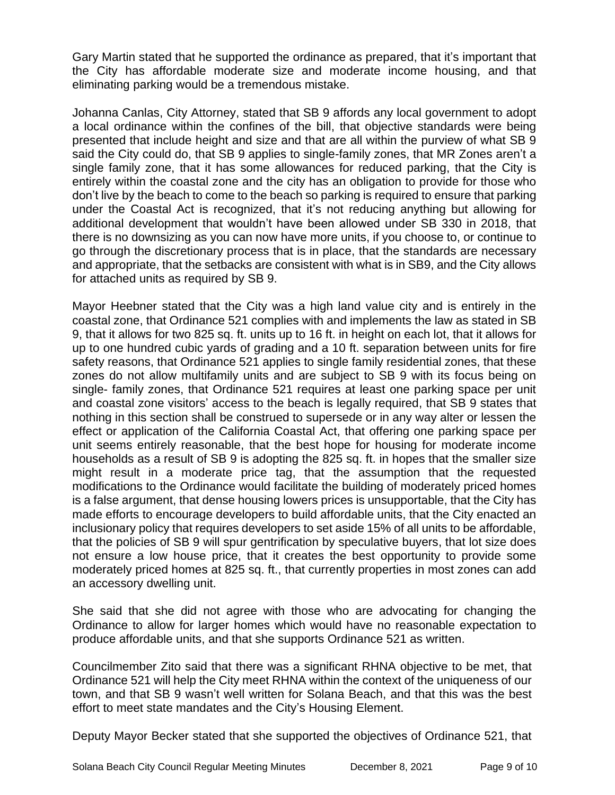Gary Martin stated that he supported the ordinance as prepared, that it's important that the City has affordable moderate size and moderate income housing, and that eliminating parking would be a tremendous mistake.

Johanna Canlas, City Attorney, stated that SB 9 affords any local government to adopt a local ordinance within the confines of the bill, that objective standards were being presented that include height and size and that are all within the purview of what SB 9 said the City could do, that SB 9 applies to single-family zones, that MR Zones aren't a single family zone, that it has some allowances for reduced parking, that the City is entirely within the coastal zone and the city has an obligation to provide for those who don't live by the beach to come to the beach so parking is required to ensure that parking under the Coastal Act is recognized, that it's not reducing anything but allowing for additional development that wouldn't have been allowed under SB 330 in 2018, that there is no downsizing as you can now have more units, if you choose to, or continue to go through the discretionary process that is in place, that the standards are necessary and appropriate, that the setbacks are consistent with what is in SB9, and the City allows for attached units as required by SB 9.

Mayor Heebner stated that the City was a high land value city and is entirely in the coastal zone, that Ordinance 521 complies with and implements the law as stated in SB 9, that it allows for two 825 sq. ft. units up to 16 ft. in height on each lot, that it allows for up to one hundred cubic yards of grading and a 10 ft. separation between units for fire safety reasons, that Ordinance 521 applies to single family residential zones, that these zones do not allow multifamily units and are subject to SB 9 with its focus being on single- family zones, that Ordinance 521 requires at least one parking space per unit and coastal zone visitors' access to the beach is legally required, that SB 9 states that nothing in this section shall be construed to supersede or in any way alter or lessen the effect or application of the California Coastal Act, that offering one parking space per unit seems entirely reasonable, that the best hope for housing for moderate income households as a result of SB 9 is adopting the 825 sq. ft. in hopes that the smaller size might result in a moderate price tag, that the assumption that the requested modifications to the Ordinance would facilitate the building of moderately priced homes is a false argument, that dense housing lowers prices is unsupportable, that the City has made efforts to encourage developers to build affordable units, that the City enacted an inclusionary policy that requires developers to set aside 15% of all units to be affordable, that the policies of SB 9 will spur gentrification by speculative buyers, that lot size does not ensure a low house price, that it creates the best opportunity to provide some moderately priced homes at 825 sq. ft., that currently properties in most zones can add an accessory dwelling unit.

She said that she did not agree with those who are advocating for changing the Ordinance to allow for larger homes which would have no reasonable expectation to produce affordable units, and that she supports Ordinance 521 as written.

Councilmember Zito said that there was a significant RHNA objective to be met, that Ordinance 521 will help the City meet RHNA within the context of the uniqueness of our town, and that SB 9 wasn't well written for Solana Beach, and that this was the best effort to meet state mandates and the City's Housing Element.

Deputy Mayor Becker stated that she supported the objectives of Ordinance 521, that